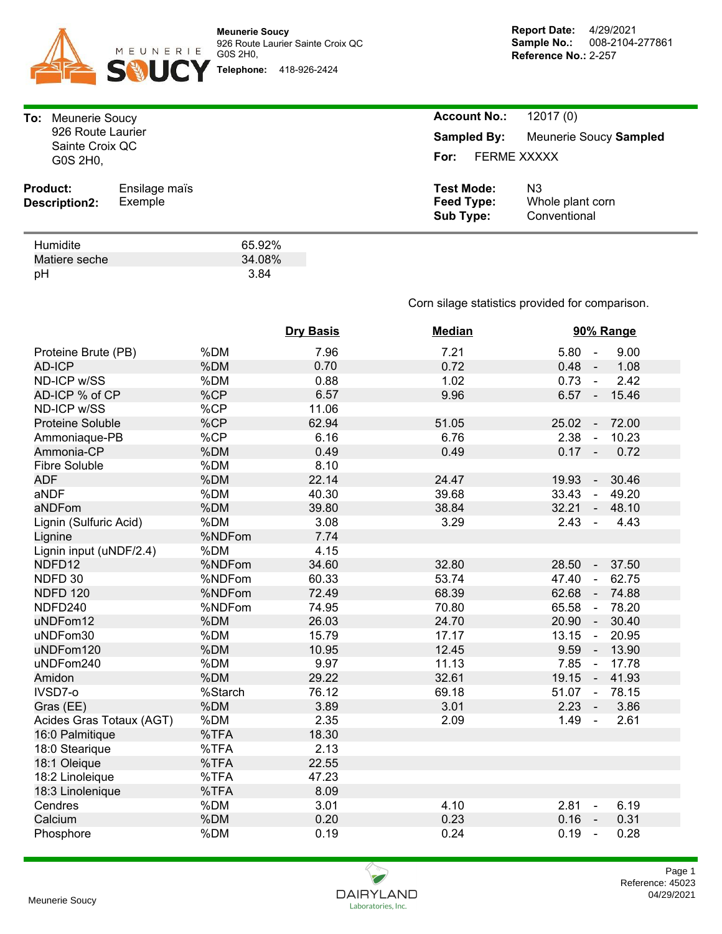

pH 3.84

| Meunerie Soucy<br>To:<br>926 Route Laurier<br>Sainte Croix QC<br>G0S 2H0, |                          |                          | <b>Account No.:</b><br>12017(0)<br>Meunerie Soucy Sampled<br><b>Sampled By:</b><br><b>FERME XXXXX</b><br>For: |                                        |  |  |
|---------------------------------------------------------------------------|--------------------------|--------------------------|---------------------------------------------------------------------------------------------------------------|----------------------------------------|--|--|
| <b>Product:</b><br>Description2:                                          | Ensilage maïs<br>Exemple |                          | <b>Test Mode:</b><br>Feed Type:<br><b>Sub Type:</b>                                                           | N3<br>Whole plant corn<br>Conventional |  |  |
| Humidite<br>Matiere seche<br>pH                                           |                          | 65.92%<br>34.08%<br>3.84 |                                                                                                               |                                        |  |  |

Corn silage statistics provided for comparison.

|                          |         | <b>Dry Basis</b> | <b>Median</b> | 90% Range                                    |  |  |
|--------------------------|---------|------------------|---------------|----------------------------------------------|--|--|
| Proteine Brute (PB)      | %DM     | 7.96             | 7.21          | 5.80<br>9.00<br>$\sim$                       |  |  |
| <b>AD-ICP</b>            | %DM     | 0.70             | 0.72          | 0.48<br>1.08<br>$\sim$ $\pm$                 |  |  |
| ND-ICP w/SS              | %DM     | 0.88             | 1.02          | $0.73 -$<br>2.42                             |  |  |
| AD-ICP % of CP           | %CP     | 6.57             | 9.96          | $6.57 -$<br>15.46                            |  |  |
| ND-ICP w/SS              | %CP     | 11.06            |               |                                              |  |  |
| <b>Proteine Soluble</b>  | %CP     | 62.94            | 51.05         | 25.02<br>72.00<br>$\sim$                     |  |  |
| Ammoniaque-PB            | %CP     | 6.16             | 6.76          | 2.38<br>10.23<br>$\blacksquare$              |  |  |
| Ammonia-CP               | %DM     | 0.49             | 0.49          | $0.17 -$<br>0.72                             |  |  |
| <b>Fibre Soluble</b>     | %DM     | 8.10             |               |                                              |  |  |
| <b>ADF</b>               | %DM     | 22.14            | 24.47         | 19.93<br>30.46<br>$\blacksquare$             |  |  |
| aNDF                     | %DM     | 40.30            | 39.68         | 33.43<br>49.20<br>$\blacksquare$             |  |  |
| aNDFom                   | %DM     | 39.80            | 38.84         | 32.21<br>48.10<br>$\blacksquare$             |  |  |
| Lignin (Sulfuric Acid)   | %DM     | 3.08             | 3.29          | 2.43<br>4.43<br>$\blacksquare$               |  |  |
| Lignine                  | %NDFom  | 7.74             |               |                                              |  |  |
| Lignin input (uNDF/2.4)  | %DM     | 4.15             |               |                                              |  |  |
| NDFD12                   | %NDFom  | 34.60            | 32.80         | 28.50<br>37.50<br>$\blacksquare$             |  |  |
| NDFD 30                  | %NDFom  | 60.33            | 53.74         | 47.40<br>62.75<br>$\blacksquare$             |  |  |
| <b>NDFD 120</b>          | %NDFom  | 72.49            | 68.39         | 62.68<br>74.88<br>$\mathcal{L}_{\mathbf{m}}$ |  |  |
| NDFD240                  | %NDFom  | 74.95            | 70.80         | 65.58<br>78.20<br>$\sim$                     |  |  |
| uNDFom12                 | %DM     | 26.03            | 24.70         | 20.90<br>30.40<br>$\sim$                     |  |  |
| uNDFom30                 | %DM     | 15.79            | 17.17         | 13.15<br>20.95<br>$\sim$                     |  |  |
| uNDFom120                | %DM     | 10.95            | 12.45         | 9.59<br>13.90<br>$\sim$ $-$                  |  |  |
| uNDFom240                | %DM     | 9.97             | 11.13         | 7.85<br>17.78<br>$\sim$                      |  |  |
| Amidon                   | %DM     | 29.22            | 32.61         | 19.15<br>41.93<br>$\sim$ $-$                 |  |  |
| IVSD7-0                  | %Starch | 76.12            | 69.18         | 51.07 -<br>78.15                             |  |  |
| Gras (EE)                | %DM     | 3.89             | 3.01          | 2.23<br>3.86                                 |  |  |
| Acides Gras Totaux (AGT) | %DM     | 2.35             | 2.09          | 1.49<br>2.61<br>$\sim$                       |  |  |
| 16:0 Palmitique          | %TFA    | 18.30            |               |                                              |  |  |
| 18:0 Stearique           | %TFA    | 2.13             |               |                                              |  |  |
| 18:1 Oleique             | %TFA    | 22.55            |               |                                              |  |  |
| 18:2 Linoleique          | %TFA    | 47.23            |               |                                              |  |  |
| 18:3 Linolenique         | %TFA    | 8.09             |               |                                              |  |  |
| Cendres                  | %DM     | 3.01             | 4.10          | 2.81<br>6.19<br>$\sim$                       |  |  |
| Calcium                  | %DM     | 0.20             | 0.23          | 0.16<br>0.31<br>$\sim$                       |  |  |
| Phosphore                | %DM     | 0.19             | 0.24          | 0.19<br>0.28<br>$\sim$                       |  |  |